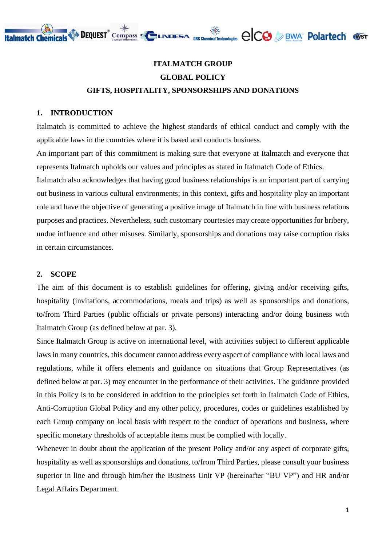

## **ITALMATCH GROUP GLOBAL POLICY GIFTS, HOSPITALITY, SPONSORSHIPS AND DONATIONS**

#### **1. INTRODUCTION**

Italmatch is committed to achieve the highest standards of ethical conduct and comply with the applicable laws in the countries where it is based and conducts business.

An important part of this commitment is making sure that everyone at Italmatch and everyone that represents Italmatch upholds our values and principles as stated in Italmatch Code of Ethics.

Italmatch also acknowledges that having good business relationships is an important part of carrying out business in various cultural environments; in this context, gifts and hospitality play an important role and have the objective of generating a positive image of Italmatch in line with business relations purposes and practices. Nevertheless, such customary courtesies may create opportunities for bribery, undue influence and other misuses. Similarly, sponsorships and donations may raise corruption risks in certain circumstances.

#### **2. SCOPE**

The aim of this document is to establish guidelines for offering, giving and/or receiving gifts, hospitality (invitations, accommodations, meals and trips) as well as sponsorships and donations, to/from Third Parties (public officials or private persons) interacting and/or doing business with Italmatch Group (as defined below at par. 3).

Since Italmatch Group is active on international level, with activities subject to different applicable laws in many countries, this document cannot address every aspect of compliance with local laws and regulations, while it offers elements and guidance on situations that Group Representatives (as defined below at par. 3) may encounter in the performance of their activities. The guidance provided in this Policy is to be considered in addition to the principles set forth in Italmatch Code of Ethics, Anti-Corruption Global Policy and any other policy, procedures, codes or guidelines established by each Group company on local basis with respect to the conduct of operations and business, where specific monetary thresholds of acceptable items must be complied with locally.

Whenever in doubt about the application of the present Policy and/or any aspect of corporate gifts, hospitality as well as sponsorships and donations, to/from Third Parties, please consult your business superior in line and through him/her the Business Unit VP (hereinafter "BU VP") and HR and/or Legal Affairs Department.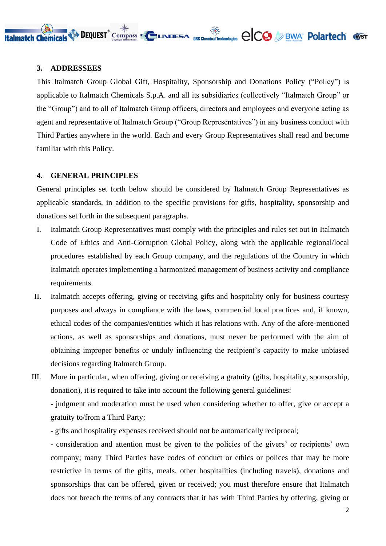

#### **3. ADDRESSEES**

This Italmatch Group Global Gift, Hospitality, Sponsorship and Donations Policy ("Policy") is applicable to Italmatch Chemicals S.p.A. and all its subsidiaries (collectively "Italmatch Group" or the "Group") and to all of Italmatch Group officers, directors and employees and everyone acting as agent and representative of Italmatch Group ("Group Representatives") in any business conduct with Third Parties anywhere in the world. Each and every Group Representatives shall read and become familiar with this Policy.

#### **4. GENERAL PRINCIPLES**

General principles set forth below should be considered by Italmatch Group Representatives as applicable standards, in addition to the specific provisions for gifts, hospitality, sponsorship and donations set forth in the subsequent paragraphs.

- I. Italmatch Group Representatives must comply with the principles and rules set out in Italmatch Code of Ethics and Anti-Corruption Global Policy, along with the applicable regional/local procedures established by each Group company, and the regulations of the Country in which Italmatch operates implementing a harmonized management of business activity and compliance requirements.
- II. Italmatch accepts offering, giving or receiving gifts and hospitality only for business courtesy purposes and always in compliance with the laws, commercial local practices and, if known, ethical codes of the companies/entities which it has relations with. Any of the afore-mentioned actions, as well as sponsorships and donations, must never be performed with the aim of obtaining improper benefits or unduly influencing the recipient's capacity to make unbiased decisions regarding Italmatch Group.
- III. More in particular, when offering, giving or receiving a gratuity (gifts, hospitality, sponsorship, donation), it is required to take into account the following general guidelines:

- judgment and moderation must be used when considering whether to offer, give or accept a gratuity to/from a Third Party;

- gifts and hospitality expenses received should not be automatically reciprocal;

- consideration and attention must be given to the policies of the givers' or recipients' own company; many Third Parties have codes of conduct or ethics or polices that may be more restrictive in terms of the gifts, meals, other hospitalities (including travels), donations and sponsorships that can be offered, given or received; you must therefore ensure that Italmatch does not breach the terms of any contracts that it has with Third Parties by offering, giving or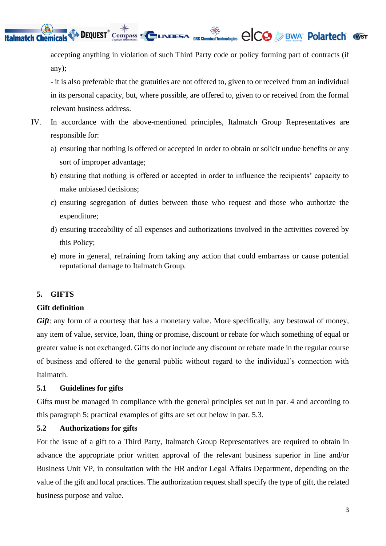**DEQUEST** Compass  $\blacksquare$  UNDESA GRS Chemical Technologies  $\bigcirc$  CCO  $\bigcirc$  BWA Pelartech (WST

accepting anything in violation of such Third Party code or policy forming part of contracts (if any);

- it is also preferable that the gratuities are not offered to, given to or received from an individual in its personal capacity, but, where possible, are offered to, given to or received from the formal relevant business address.

- IV. In accordance with the above-mentioned principles, Italmatch Group Representatives are responsible for:
	- a) ensuring that nothing is offered or accepted in order to obtain or solicit undue benefits or any sort of improper advantage;
	- b) ensuring that nothing is offered or accepted in order to influence the recipients' capacity to make unbiased decisions;
	- c) ensuring segregation of duties between those who request and those who authorize the expenditure;
	- d) ensuring traceability of all expenses and authorizations involved in the activities covered by this Policy;
	- e) more in general, refraining from taking any action that could embarrass or cause potential reputational damage to Italmatch Group.

## **5. GIFTS**

**Italmatch Chemicals** 

## **Gift definition**

*Gift*: any form of a courtesy that has a monetary value. More specifically, any bestowal of money, any item of value, service, loan, thing or promise, discount or rebate for which something of equal or greater value is not exchanged. Gifts do not include any discount or rebate made in the regular course of business and offered to the general public without regard to the individual's connection with Italmatch.

#### **5.1 Guidelines for gifts**

Gifts must be managed in compliance with the general principles set out in par. 4 and according to this paragraph 5; practical examples of gifts are set out below in par. 5.3.

#### **5.2 Authorizations for gifts**

For the issue of a gift to a Third Party, Italmatch Group Representatives are required to obtain in advance the appropriate prior written approval of the relevant business superior in line and/or Business Unit VP, in consultation with the HR and/or Legal Affairs Department, depending on the value of the gift and local practices. The authorization request shall specify the type of gift, the related business purpose and value.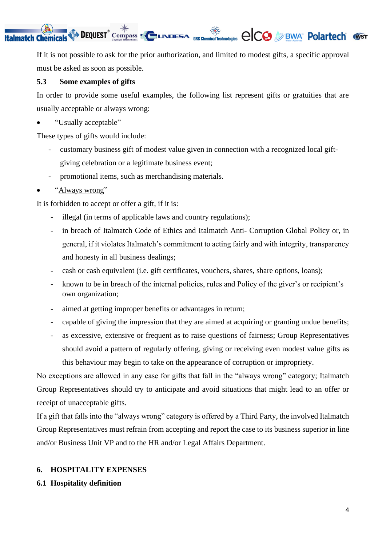#### **DEQUEST** Compass  $\leq$  UNDESA GRS Chemical Technologies  $\bigcirc$  CCO  $\bigcirc$  BWA Polartech (VST **Italmatch Chemicals**

If it is not possible to ask for the prior authorization, and limited to modest gifts, a specific approval must be asked as soon as possible.

## **5.3 Some examples of gifts**

In order to provide some useful examples, the following list represent gifts or gratuities that are usually acceptable or always wrong:

• "Usually acceptable"

These types of gifts would include:

- customary business gift of modest value given in connection with a recognized local giftgiving celebration or a legitimate business event;
- promotional items, such as merchandising materials.
- "Always wrong"

It is forbidden to accept or offer a gift, if it is:

- illegal (in terms of applicable laws and country regulations);
- in breach of Italmatch Code of Ethics and Italmatch Anti- Corruption Global Policy or, in general, if it violates Italmatch's commitment to acting fairly and with integrity, transparency and honesty in all business dealings;
- cash or cash equivalent (i.e. gift certificates, vouchers, shares, share options, loans);
- known to be in breach of the internal policies, rules and Policy of the giver's or recipient's own organization;
- aimed at getting improper benefits or advantages in return;
- capable of giving the impression that they are aimed at acquiring or granting undue benefits;
- as excessive, extensive or frequent as to raise questions of fairness; Group Representatives should avoid a pattern of regularly offering, giving or receiving even modest value gifts as this behaviour may begin to take on the appearance of corruption or impropriety.

No exceptions are allowed in any case for gifts that fall in the "always wrong" category; Italmatch Group Representatives should try to anticipate and avoid situations that might lead to an offer or receipt of unacceptable gifts.

If a gift that falls into the "always wrong" category is offered by a Third Party, the involved Italmatch Group Representatives must refrain from accepting and report the case to its business superior in line and/or Business Unit VP and to the HR and/or Legal Affairs Department.

## **6. HOSPITALITY EXPENSES**

**6.1 Hospitality definition**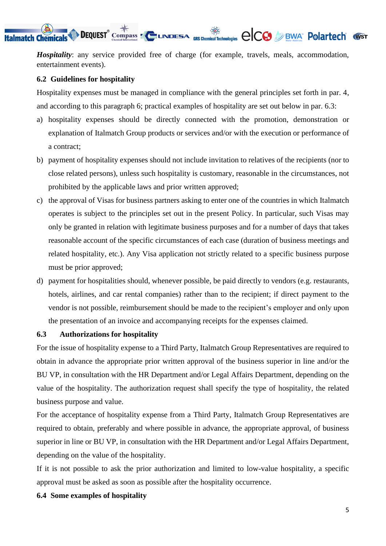#### **DEQUEST** Compass **To UNDESA** GRS Chemical Technologies  $\bigcirc$ CO DEWA POLATTECH WST **Italmatch Chemicals**

*Hospitality*: any service provided free of charge (for example, travels, meals, accommodation, entertainment events).

#### **6.2 Guidelines for hospitality**

Hospitality expenses must be managed in compliance with the general principles set forth in par. 4, and according to this paragraph 6; practical examples of hospitality are set out below in par. 6.3:

- a) hospitality expenses should be directly connected with the promotion, demonstration or explanation of Italmatch Group products or services and/or with the execution or performance of a contract;
- b) payment of hospitality expenses should not include invitation to relatives of the recipients (nor to close related persons), unless such hospitality is customary, reasonable in the circumstances, not prohibited by the applicable laws and prior written approved;
- c) the approval of Visas for business partners asking to enter one of the countries in which Italmatch operates is subject to the principles set out in the present Policy. In particular, such Visas may only be granted in relation with legitimate business purposes and for a number of days that takes reasonable account of the specific circumstances of each case (duration of business meetings and related hospitality, etc.). Any Visa application not strictly related to a specific business purpose must be prior approved;
- d) payment for hospitalities should, whenever possible, be paid directly to vendors (e.g. restaurants, hotels, airlines, and car rental companies) rather than to the recipient; if direct payment to the vendor is not possible, reimbursement should be made to the recipient's employer and only upon the presentation of an invoice and accompanying receipts for the expenses claimed.

#### **6.3 Authorizations for hospitality**

For the issue of hospitality expense to a Third Party, Italmatch Group Representatives are required to obtain in advance the appropriate prior written approval of the business superior in line and/or the BU VP, in consultation with the HR Department and/or Legal Affairs Department, depending on the value of the hospitality. The authorization request shall specify the type of hospitality, the related business purpose and value.

For the acceptance of hospitality expense from a Third Party, Italmatch Group Representatives are required to obtain, preferably and where possible in advance, the appropriate approval, of business superior in line or BU VP, in consultation with the HR Department and/or Legal Affairs Department, depending on the value of the hospitality.

If it is not possible to ask the prior authorization and limited to low-value hospitality, a specific approval must be asked as soon as possible after the hospitality occurrence.

#### **6.4 Some examples of hospitality**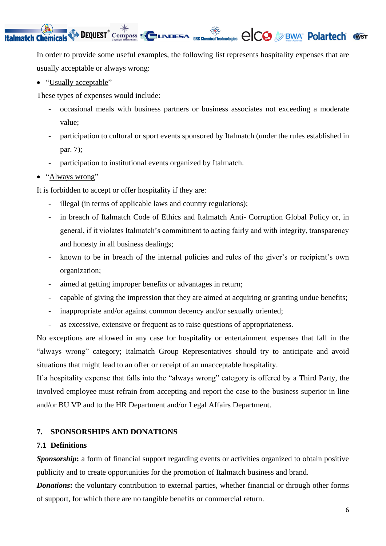#### **DEQUEST** Compass **To UNDESA** GRS Chemical Technologies  $\bigcirc$ CO *D* BWA Polartech (VST **Italmatch Chemicals**

In order to provide some useful examples, the following list represents hospitality expenses that are usually acceptable or always wrong:

• "Usually acceptable"

These types of expenses would include:

- occasional meals with business partners or business associates not exceeding a moderate value;
- participation to cultural or sport events sponsored by Italmatch (under the rules established in par. 7);
- participation to institutional events organized by Italmatch.
- "Always wrong"

It is forbidden to accept or offer hospitality if they are:

- illegal (in terms of applicable laws and country regulations);
- in breach of Italmatch Code of Ethics and Italmatch Anti- Corruption Global Policy or, in general, if it violates Italmatch's commitment to acting fairly and with integrity, transparency and honesty in all business dealings;
- known to be in breach of the internal policies and rules of the giver's or recipient's own organization;
- aimed at getting improper benefits or advantages in return;
- capable of giving the impression that they are aimed at acquiring or granting undue benefits;
- inappropriate and/or against common decency and/or sexually oriented;
- as excessive, extensive or frequent as to raise questions of appropriateness.

No exceptions are allowed in any case for hospitality or entertainment expenses that fall in the "always wrong" category; Italmatch Group Representatives should try to anticipate and avoid situations that might lead to an offer or receipt of an unacceptable hospitality.

If a hospitality expense that falls into the "always wrong" category is offered by a Third Party, the involved employee must refrain from accepting and report the case to the business superior in line and/or BU VP and to the HR Department and/or Legal Affairs Department.

## **7. SPONSORSHIPS AND DONATIONS**

## **7.1 Definitions**

**Sponsorship**: a form of financial support regarding events or activities organized to obtain positive publicity and to create opportunities for the promotion of Italmatch business and brand.

*Donations*: the voluntary contribution to external parties, whether financial or through other forms of support, for which there are no tangible benefits or commercial return.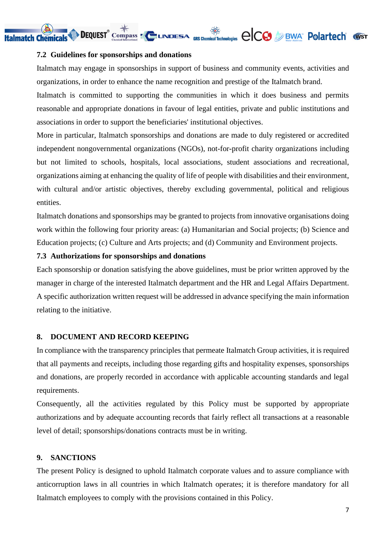DEQUEST<sup>®</sup> Compass EQUINDESA GRS Chemical Technologies  $\bigcirc$ CO DEWA POLATTECH WST

#### **7.2 Guidelines for sponsorships and donations**

**Italmatch Chemicals** 

Italmatch may engage in sponsorships in support of business and community events, activities and organizations, in order to enhance the name recognition and prestige of the Italmatch brand.

Italmatch is committed to supporting the communities in which it does business and permits reasonable and appropriate donations in favour of legal entities, private and public institutions and associations in order to support the beneficiaries' institutional objectives.

More in particular, Italmatch sponsorships and donations are made to duly registered or accredited independent nongovernmental organizations (NGOs), not-for-profit charity organizations including but not limited to schools, hospitals, local associations, student associations and recreational, organizations aiming at enhancing the quality of life of people with disabilities and their environment, with cultural and/or artistic objectives, thereby excluding governmental, political and religious entities.

Italmatch donations and sponsorships may be granted to projects from innovative organisations doing work within the following four priority areas: (a) Humanitarian and Social projects; (b) Science and Education projects; (c) Culture and Arts projects; and (d) Community and Environment projects.

#### **7.3 Authorizations for sponsorships and donations**

Each sponsorship or donation satisfying the above guidelines, must be prior written approved by the manager in charge of the interested Italmatch department and the HR and Legal Affairs Department. A specific authorization written request will be addressed in advance specifying the main information relating to the initiative.

#### **8. DOCUMENT AND RECORD KEEPING**

In compliance with the transparency principles that permeate Italmatch Group activities, it is required that all payments and receipts, including those regarding gifts and hospitality expenses, sponsorships and donations, are properly recorded in accordance with applicable accounting standards and legal requirements.

Consequently, all the activities regulated by this Policy must be supported by appropriate authorizations and by adequate accounting records that fairly reflect all transactions at a reasonable level of detail; sponsorships/donations contracts must be in writing.

#### **9. SANCTIONS**

The present Policy is designed to uphold Italmatch corporate values and to assure compliance with anticorruption laws in all countries in which Italmatch operates; it is therefore mandatory for all Italmatch employees to comply with the provisions contained in this Policy.